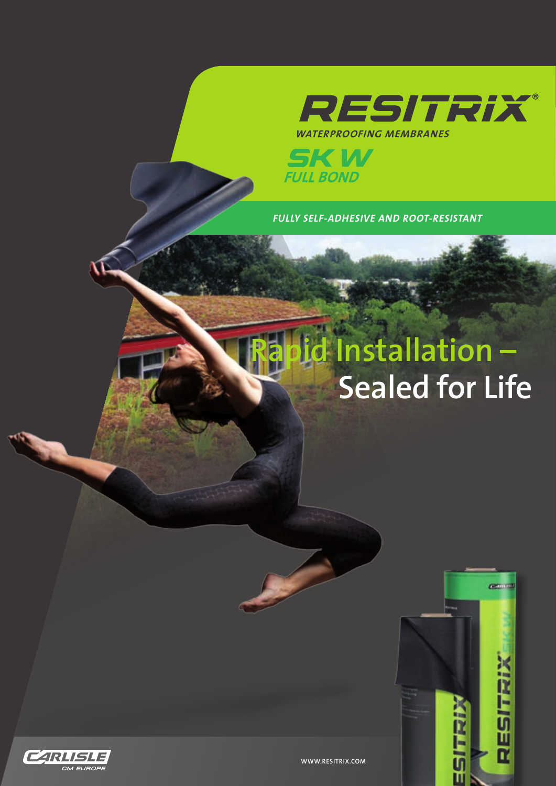

**SKW**<br>FULL BOND

*FULLY SELF-ADHESIVE AND ROOT-RESISTANT*

## **Rapid Installation – Sealed for Life**

m

RESITRIX



**WWW.RESITRIX.COM**